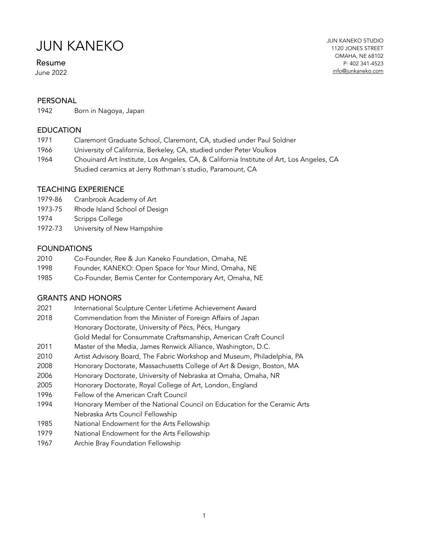#### Resume

June 2022

#### PERSONAL

1942 Born in Nagoya, Japan

#### **EDUCATION**

- 1971 Claremont Graduate School, Claremont, CA, studied under Paul Soldner
- 1966 University of California, Berkeley, CA, studied under Peter Voulkos
- 1964 Chouinard Art Institute, Los Angeles, CA, & California Institute of Art, Los Angeles, CA Studied ceramics at Jerry Rothman's studio, Paramount, CA

#### TEACHING EXPERIENCE

- 1979-86 Cranbrook Academy of Art
- 1973-75 Rhode Island School of Design
- 1974 Scripps College
- 1972-73 University of New Hampshire

#### FOUNDATIONS

- 2010 Co-Founder, Ree & Jun Kaneko Foundation, Omaha, NE
- 1998 Founder, KANEKO: Open Space for Your Mind, Omaha, NE
- 1985 Co-Founder, Bemis Center for Contemporary Art, Omaha, NE

#### GRANTS AND HONORS

- 2021 International Sculpture Center Lifetime Achievement Award
- 2018 Commendation from the Minister of Foreign Affairs of Japan Honorary Doctorate, University of Pécs, Pécs, Hungary
- Gold Medal for Consummate Craftsmanship, American Craft Council
- 2011 Master of the Media, James Renwick Alliance, Washington, D.C.
- 2010 Artist Advisory Board, The Fabric Workshop and Museum, Philadelphia, PA
- 2008 Honorary Doctorate, Massachusetts College of Art & Design, Boston, MA
- 2006 Honorary Doctorate, University of Nebraska at Omaha, Omaha, NR
- 2005 Honorary Doctorate, Royal College of Art, London, England
- 1996 Fellow of the American Craft Council
- 1994 Honorary Member of the National Council on Education for the Ceramic Arts Nebraska Arts Council Fellowship
- 1985 National Endowment for the Arts Fellowship
- 1979 National Endowment for the Arts Fellowship
- 1967 Archie Bray Foundation Fellowship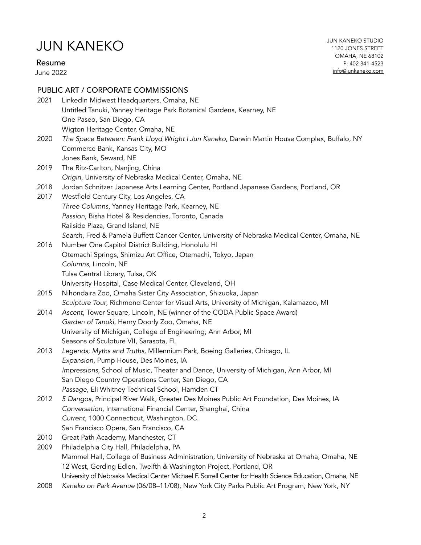Resume

June 2022

JUN KANEKO STUDIO 1120 JONES STREET OMAHA, NE 68102 P: 402 341-4523 [info@junkaneko.com](mailto:info@junkaneko.com?subject=)

### PUBLIC ART / CORPORATE COMMISSIONS

| 2021 | LinkedIn Midwest Headquarters, Omaha, NE<br>Untitled Tanuki, Yanney Heritage Park Botanical Gardens, Kearney, NE<br>One Paseo, San Diego, CA                        |
|------|---------------------------------------------------------------------------------------------------------------------------------------------------------------------|
| 2020 | Wigton Heritage Center, Omaha, NE<br>The Space Between: Frank Lloyd Wright   Jun Kaneko, Darwin Martin House Complex, Buffalo, NY<br>Commerce Bank, Kansas City, MO |
|      | Jones Bank, Seward, NE                                                                                                                                              |
| 2019 | The Ritz-Carlton, Nanjing, China                                                                                                                                    |
| 2018 | Origin, University of Nebraska Medical Center, Omaha, NE<br>Jordan Schnitzer Japanese Arts Learning Center, Portland Japanese Gardens, Portland, OR                 |
| 2017 | Westfield Century City, Los Angeles, CA                                                                                                                             |
|      | Three Columns, Yanney Heritage Park, Kearney, NE                                                                                                                    |
|      | Passion, Bisha Hotel & Residencies, Toronto, Canada                                                                                                                 |
|      | Railside Plaza, Grand Island, NE                                                                                                                                    |
|      | Search, Fred & Pamela Buffett Cancer Center, University of Nebraska Medical Center, Omaha, NE                                                                       |
| 2016 | Number One Capitol District Building, Honolulu HI                                                                                                                   |
|      | Otemachi Springs, Shimizu Art Office, Otemachi, Tokyo, Japan                                                                                                        |
|      | Columns, Lincoln, NE                                                                                                                                                |
|      | Tulsa Central Library, Tulsa, OK                                                                                                                                    |
|      | University Hospital, Case Medical Center, Cleveland, OH                                                                                                             |
| 2015 | Nihondaira Zoo, Omaha Sister City Association, Shizuoka, Japan                                                                                                      |
|      | Sculpture Tour, Richmond Center for Visual Arts, University of Michigan, Kalamazoo, MI                                                                              |
| 2014 | Ascent, Tower Square, Lincoln, NE (winner of the CODA Public Space Award)                                                                                           |
|      | Garden of Tanuki, Henry Doorly Zoo, Omaha, NE                                                                                                                       |
|      | University of Michigan, College of Engineering, Ann Arbor, MI                                                                                                       |
|      | Seasons of Sculpture VII, Sarasota, FL                                                                                                                              |
| 2013 | Legends, Myths and Truths, Millennium Park, Boeing Galleries, Chicago, IL<br>Expansion, Pump House, Des Moines, IA                                                  |
|      | Impressions, School of Music, Theater and Dance, University of Michigan, Ann Arbor, MI                                                                              |
|      | San Diego Country Operations Center, San Diego, CA                                                                                                                  |
|      | Passage, Eli Whitney Technical School, Hamden CT                                                                                                                    |
| 2012 | 5 Dangos, Principal River Walk, Greater Des Moines Public Art Foundation, Des Moines, IA                                                                            |
|      | Conversation, International Financial Center, Shanghai, China                                                                                                       |
|      | Current, 1000 Connecticut, Washington, DC.                                                                                                                          |
|      | San Francisco Opera, San Francisco, CA                                                                                                                              |
| 2010 | Great Path Academy, Manchester, CT                                                                                                                                  |
| 2009 | Philadelphia City Hall, Philadelphia, PA                                                                                                                            |
|      | Mammel Hall, College of Business Administration, University of Nebraska at Omaha, Omaha, NE                                                                         |
|      | 12 West, Gerding Edlen, Twelfth & Washington Project, Portland, OR                                                                                                  |
|      | University of Nebraska Medical Center Michael F. Sorrell Center for Health Science Education, Omaha, NE                                                             |
| 2008 | Kaneko on Park Avenue (06/08-11/08), New York City Parks Public Art Program, New York, NY                                                                           |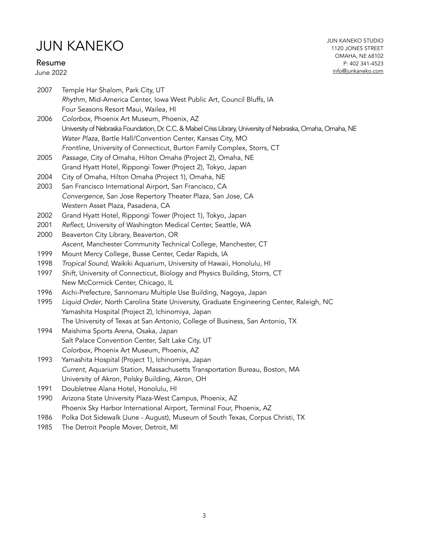#### Resume

June 2022

2007 Temple Har Shalom, Park City, UT *Rhythm*, Mid-America Center, Iowa West Public Art, Council Bluffs, IA Four Seasons Resort Maui, Wailea, HI

- 2006 *Colorbox,* Phoenix Art Museum, Phoenix, AZ University of Nebraska Foundation, Dr. C.C. & Mabel Criss Library, University of Nebraska, Omaha, Omaha, NE *Water Plaza*, Bartle Hall/Convention Center, Kansas City, MO *Frontline*, University of Connecticut, Burton Family Complex, Storrs, CT
- 2005 *Passage*, City of Omaha, Hilton Omaha (Project 2), Omaha, NE Grand Hyatt Hotel, Rippongi Tower (Project 2), Tokyo, Japan
- 2004 City of Omaha, Hilton Omaha (Project 1), Omaha, NE
- 2003 San Francisco International Airport, San Francisco, CA *Convergence*, San Jose Repertory Theater Plaza, San Jose, CA Western Asset Plaza, Pasadena, CA
- 2002 Grand Hyatt Hotel, Rippongi Tower (Project 1), Tokyo, Japan
- 2001 *Reflect*, University of Washington Medical Center, Seattle, WA
- 2000 Beaverton City Library, Beaverton, OR *Ascent*, Manchester Community Technical College, Manchester, CT
- 1999 Mount Mercy College, Busse Center, Cedar Rapids, IA
- 1998 *Tropical Sound*, Waikiki Aquarium, University of Hawaii, Honolulu, HI
- 1997 *Shift*, University of Connecticut, Biology and Physics Building, Storrs, CT New McCormick Center, Chicago, IL
- 1996 Aichi-Prefecture, Sannomaru Multiple Use Building, Nagoya, Japan
- 1995 *Liquid Order*, North Carolina State University, Graduate Engineering Center, Raleigh, NC Yamashita Hospital (Project 2), Ichinomiya, Japan The University of Texas at San Antonio, College of Business, San Antonio, TX
- 1994 Maishima Sports Arena, Osaka, Japan Salt Palace Convention Center, Salt Lake City, UT *Colorbox*, Phoenix Art Museum, Phoenix, AZ
- 1993 Yamashita Hospital (Project 1), Ichinomiya, Japan *Current*, Aquarium Station, Massachusetts Transportation Bureau, Boston, MA University of Akron, Polsky Building, Akron, OH
- 1991 Doubletree Alana Hotel, Honolulu, HI
- 1990 Arizona State University Plaza-West Campus, Phoenix, AZ Phoenix Sky Harbor International Airport, Terminal Four, Phoenix, AZ
- 1986 Polka Dot Sidewalk (June August), Museum of South Texas, Corpus Christi, TX
- 1985 The Detroit People Mover, Detroit, MI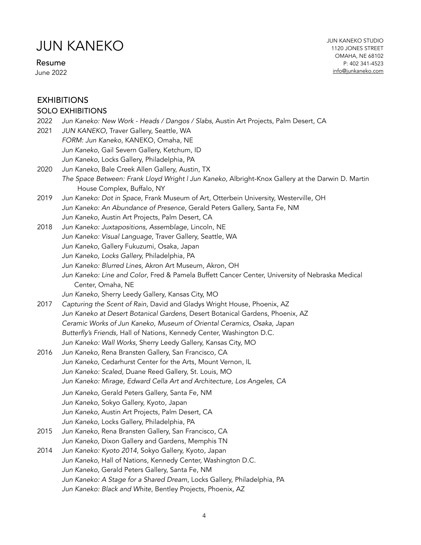Resume

June 2022

### SOLO EXHIBITIONS

| 2022 | Jun Kaneko: New Work - Heads / Dangos / Slabs, Austin Art Projects, Palm Desert, CA               |
|------|---------------------------------------------------------------------------------------------------|
| 2021 | JUN KANEKO, Traver Gallery, Seattle, WA                                                           |
|      | FORM: Jun Kaneko, KANEKO, Omaha, NE                                                               |
|      | Jun Kaneko, Gail Severn Gallery, Ketchum, ID                                                      |
|      | Jun Kaneko, Locks Gallery, Philadelphia, PA                                                       |
| 2020 | Jun Kaneko, Bale Creek Allen Gallery, Austin, TX                                                  |
|      | The Space Between: Frank Lloyd Wright I Jun Kaneko, Albright-Knox Gallery at the Darwin D. Martin |
|      | House Complex, Buffalo, NY                                                                        |
| 2019 | Jun Kaneko: Dot in Space, Frank Museum of Art, Otterbein University, Westerville, OH              |
|      | Jun Kaneko: An Abundance of Presence, Gerald Peters Gallery, Santa Fe, NM                         |
|      | Jun Kaneko, Austin Art Projects, Palm Desert, CA                                                  |
| 2018 | Jun Kaneko: Juxtapositions, Assemblage, Lincoln, NE                                               |
|      | Jun Kaneko: Visual Language, Traver Gallery, Seattle, WA                                          |
|      | Jun Kaneko, Gallery Fukuzumi, Osaka, Japan                                                        |
|      | Jun Kaneko, Locks Gallery, Philadelphia, PA                                                       |
|      | Jun Kaneko: Blurred Lines, Akron Art Museum, Akron, OH                                            |
|      | Jun Kaneko: Line and Color, Fred & Pamela Buffett Cancer Center, University of Nebraska Medical   |
|      | Center, Omaha, NE                                                                                 |
|      | Jun Kaneko, Sherry Leedy Gallery, Kansas City, MO                                                 |
| 2017 | Capturing the Scent of Rain, David and Gladys Wright House, Phoenix, AZ                           |
|      | Jun Kaneko at Desert Botanical Gardens, Desert Botanical Gardens, Phoenix, AZ                     |
|      | Ceramic Works of Jun Kaneko, Museum of Oriental Ceramics, Osaka, Japan                            |
|      | Butterfly's Friends, Hall of Nations, Kennedy Center, Washington D.C.                             |
|      | Jun Kaneko: Wall Works, Sherry Leedy Gallery, Kansas City, MO                                     |
| 2016 | Jun Kaneko, Rena Bransten Gallery, San Francisco, CA                                              |
|      | Jun Kaneko, Cedarhurst Center for the Arts, Mount Vernon, IL                                      |
|      | Jun Kaneko: Scaled, Duane Reed Gallery, St. Louis, MO                                             |
|      | Jun Kaneko: Mirage, Edward Cella Art and Architecture, Los Angeles, CA                            |
|      | Jun Kaneko, Gerald Peters Gallery, Santa Fe, NM                                                   |
|      | Jun Kaneko, Sokyo Gallery, Kyoto, Japan                                                           |
|      | Jun Kaneko, Austin Art Projects, Palm Desert, CA                                                  |
|      | Jun Kaneko, Locks Gallery, Philadelphia, PA                                                       |
| 2015 | Jun Kaneko, Rena Bransten Gallery, San Francisco, CA                                              |
|      | Jun Kaneko, Dixon Gallery and Gardens, Memphis TN                                                 |
| 2014 | Jun Kaneko: Kyoto 2014, Sokyo Gallery, Kyoto, Japan                                               |
|      | Jun Kaneko, Hall of Nations, Kennedy Center, Washington D.C.                                      |
|      | Jun Kaneko, Gerald Peters Gallery, Santa Fe, NM                                                   |
|      | Jun Kaneko: A Stage for a Shared Dream, Locks Gallery, Philadelphia, PA                           |
|      | Jun Kaneko: Black and White, Bentley Projects, Phoenix, AZ                                        |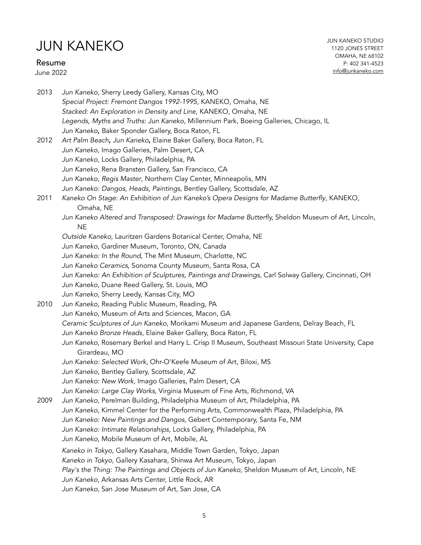### Resume

June 2022

JUN KANEKO STUDIO 1120 JONES STREET OMAHA, NE 68102 P: 402 341-4523 [info@junkaneko.com](mailto:info@junkaneko.com?subject=)

| 2013 | Jun Kaneko, Sherry Leedy Gallery, Kansas City, MO                                                                    |
|------|----------------------------------------------------------------------------------------------------------------------|
|      | Special Project: Fremont Dangos 1992-1995, KANEKO, Omaha, NE                                                         |
|      | Stacked: An Exploration in Density and Line, KANEKO, Omaha, NE                                                       |
|      | Legends, Myths and Truths: Jun Kaneko, Millennium Park, Boeing Galleries, Chicago, IL                                |
|      | Jun Kaneko, Baker Sponder Gallery, Boca Raton, FL                                                                    |
| 2012 | Art Palm Beach, Jun Kaneko, Elaine Baker Gallery, Boca Raton, FL                                                     |
|      | Jun Kaneko, Imago Galleries, Palm Desert, CA                                                                         |
|      | Jun Kaneko, Locks Gallery, Philadelphia, PA                                                                          |
|      | Jun Kaneko, Rena Bransten Gallery, San Francisco, CA                                                                 |
|      | Jun Kaneko, Regis Master, Northern Clay Center, Minneapolis, MN                                                      |
|      | Jun Kaneko: Dangos, Heads, Paintings, Bentley Gallery, Scottsdale, AZ                                                |
| 2011 | Kaneko On Stage: An Exhibition of Jun Kaneko's Opera Designs for Madame Butterfly, KANEKO,<br>Omaha, NE              |
|      | Jun Kaneko Altered and Transposed: Drawings for Madame Butterfly, Sheldon Museum of Art, Lincoln,<br><b>NE</b>       |
|      | Outside Kaneko, Lauritzen Gardens Botanical Center, Omaha, NE                                                        |
|      | Jun Kaneko, Gardiner Museum, Toronto, ON, Canada                                                                     |
|      | Jun Kaneko: In the Round, The Mint Museum, Charlotte, NC                                                             |
|      | Jun Kaneko Ceramics, Sonoma County Museum, Santa Rosa, CA                                                            |
|      | Jun Kaneko: An Exhibition of Sculptures, Paintings and Drawings, Carl Solway Gallery, Cincinnati, OH                 |
|      | Jun Kaneko, Duane Reed Gallery, St. Louis, MO                                                                        |
|      | Jun Kaneko, Sherry Leedy, Kansas City, MO                                                                            |
| 2010 | Jun Kaneko, Reading Public Museum, Reading, PA                                                                       |
|      | Jun Kaneko, Museum of Arts and Sciences, Macon, GA                                                                   |
|      | Ceramic Sculptures of Jun Kaneko, Morikami Museum and Japanese Gardens, Delray Beach, FL                             |
|      | Jun Kaneko Bronze Heads, Elaine Baker Gallery, Boca Raton, FL                                                        |
|      | Jun Kaneko, Rosemary Berkel and Harry L. Crisp II Museum, Southeast Missouri State University, Cape<br>Girardeau, MO |
|      | Jun Kaneko: Selected Work, Ohr-O'Keefe Museum of Art, Biloxi, MS                                                     |
|      | Jun Kaneko, Bentley Gallery, Scottsdale, AZ                                                                          |
|      | Jun Kaneko: New Work, Imago Galleries, Palm Desert, CA                                                               |
|      | Jun Kaneko: Large Clay Works, Virginia Museum of Fine Arts, Richmond, VA                                             |
| 2009 | Jun Kaneko, Perelman Building, Philadelphia Museum of Art, Philadelphia, PA                                          |
|      | Jun Kaneko, Kimmel Center for the Performing Arts, Commonwealth Plaza, Philadelphia, PA                              |
|      | Jun Kaneko: New Paintings and Dangos, Gebert Contemporary, Santa Fe, NM                                              |
|      | Jun Kaneko: Intimate Relationships, Locks Gallery, Philadelphia, PA                                                  |
|      | Jun Kaneko, Mobile Museum of Art, Mobile, AL                                                                         |
|      | Kaneko in Tokyo, Gallery Kasahara, Middle Town Garden, Tokyo, Japan                                                  |
|      | Kaneko in Tokyo, Gallery Kasahara, Shinwa Art Museum, Tokyo, Japan                                                   |
|      | Play's the Thing: The Paintings and Objects of Jun Kaneko, Sheldon Museum of Art, Lincoln, NE                        |
|      | Jun Kaneko, Arkansas Arts Center, Little Rock, AR                                                                    |
|      | Jun Kaneko, San Jose Museum of Art, San Jose, CA                                                                     |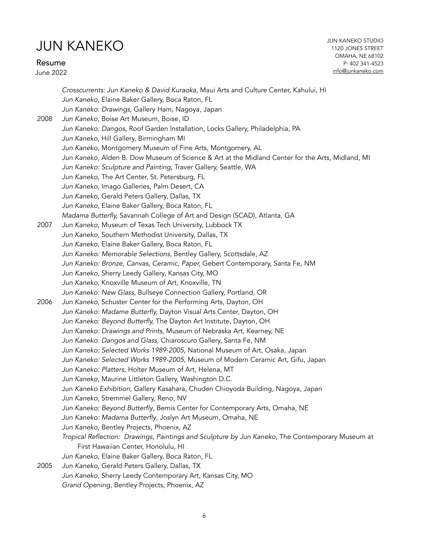Resume

June 2022

|      | Crosscurrents: Jun Kaneko & David Kuraoka, Maui Arts and Culture Center, Kahului, HI             |
|------|--------------------------------------------------------------------------------------------------|
|      | Jun Kaneko, Elaine Baker Gallery, Boca Raton, FL                                                 |
|      | Jun Kaneko: Drawings, Gallery Ham, Nagoya, Japan                                                 |
| 2008 | Jun Kaneko, Boise Art Museum, Boise, ID                                                          |
|      | Jun Kaneko: Dangos, Roof Garden Installation, Locks Gallery, Philadelphia, PA                    |
|      | Jun Kaneko, Hill Gallery, Birmingham MI                                                          |
|      | Jun Kaneko, Montgomery Museum of Fine Arts, Montgomery, AL                                       |
|      | Jun Kaneko, Alden B. Dow Museum of Science & Art at the Midland Center for the Arts, Midland, MI |
|      | Jun Kaneko: Sculpture and Painting, Traver Gallery, Seattle, WA                                  |
|      | Jun Kaneko, The Art Center, St. Petersburg, FL                                                   |
|      | Jun Kaneko, Imago Galleries, Palm Desert, CA                                                     |
|      | Jun Kaneko, Gerald Peters Gallery, Dallas, TX                                                    |
|      | Jun Kaneko, Elaine Baker Gallery, Boca Raton, FL                                                 |
|      | Madama Butterfly, Savannah College of Art and Design (SCAD), Atlanta, GA                         |
| 2007 | Jun Kaneko, Museum of Texas Tech University, Lubbock TX                                          |
|      | Jun Kaneko, Southern Methodist University, Dallas, TX                                            |
|      | Jun Kaneko, Elaine Baker Gallery, Boca Raton, FL                                                 |
|      | Jun Kaneko: Memorable Selections, Bentley Gallery, Scottsdale, AZ                                |
|      | Jun Kaneko: Bronze, Canvas, Ceramic, Paper, Gebert Contemporary, Santa Fe, NM                    |
|      | Jun Kaneko, Sherry Leedy Gallery, Kansas City, MO                                                |
|      | Jun Kaneko, Knoxville Museum of Art, Knoxville, TN                                               |
|      | Jun Kaneko: New Glass, Bullseye Connection Gallery, Portland, OR                                 |
| 2006 | Jun Kaneko, Schuster Center for the Performing Arts, Dayton, OH                                  |
|      | Jun Kaneko: Madame Butterfly, Dayton Visual Arts Center, Dayton, OH                              |
|      | Jun Kaneko: Beyond Butterfly, The Dayton Art Institute, Dayton, OH                               |
|      | Jun Kaneko: Drawings and Prints, Museum of Nebraska Art, Kearney, NE                             |
|      | Jun Kaneko: Dangos and Glass, Chiaroscuro Gallery, Santa Fe, NM                                  |
|      | Jun Kaneko: Selected Works 1989-2005, National Museum of Art, Osaka, Japan                       |
|      | Jun Kaneko: Selected Works 1989-2005, Museum of Modern Ceramic Art, Gifu, Japan                  |
|      | Jun Kaneko: Platters, Holter Museum of Art, Helena, MT                                           |
|      | Jun Kaneko, Maurine Littleton Gallery, Washington D.C.                                           |
|      | Jun Kaneko Exhibition, Gallery Kasahara, Chuden Chioyoda Building, Nagoya, Japan                 |
|      | Jun Kaneko, Stremmel Gallery, Reno, NV                                                           |
|      | Jun Kaneko: Beyond Butterfly, Bemis Center for Contemporary Arts, Omaha, NE                      |
|      | Jun Kaneko: Madama Butterfly, Joslyn Art Museum, Omaha, NE                                       |
|      | Jun Kaneko, Bentley Projects, Phoenix, AZ                                                        |
|      | Tropical Reflection: Drawings, Paintings and Sculpture by Jun Kaneko, The Contemporary Museum at |
|      | First Hawaiian Center, Honolulu, HI                                                              |
|      | Jun Kaneko, Elaine Baker Gallery, Boca Raton, FL                                                 |
| 2005 | Jun Kaneko, Gerald Peters Gallery, Dallas, TX                                                    |
|      | Jun Kaneko, Sherry Leedy Contemporary Art, Kansas City, MO                                       |
|      | Grand Opening, Bentley Projects, Phoenix, AZ                                                     |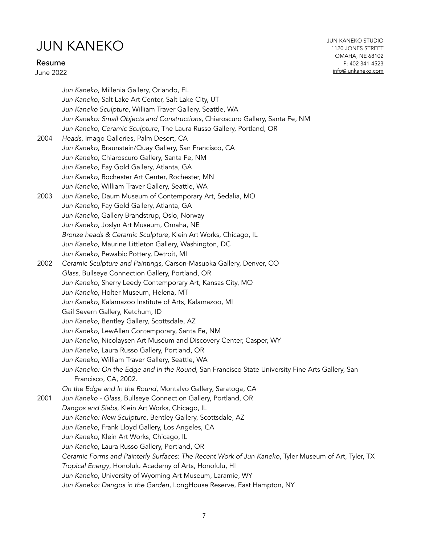#### Resume

June 2022

JUN KANEKO STUDIO 1120 JONES STREET OMAHA, NE 68102 P: 402 341-4523 [info@junkaneko.com](mailto:info@junkaneko.com?subject=)

*Jun Kaneko*, Millenia Gallery, Orlando, FL *Jun Kaneko,* Salt Lake Art Center, Salt Lake City, UT *Jun Kaneko Sculpture*, William Traver Gallery, Seattle, WA *Jun Kaneko: Small Objects and Constructions*, Chiaroscuro Gallery, Santa Fe, NM *Jun Kaneko, Ceramic Sculpture*, The Laura Russo Gallery, Portland, OR 2004 *Heads,* Imago Galleries, Palm Desert, CA *Jun Kaneko*, Braunstein/Quay Gallery, San Francisco, CA *Jun Kaneko*, Chiaroscuro Gallery, Santa Fe, NM *Jun Kaneko*, Fay Gold Gallery, Atlanta, GA *Jun Kaneko*, Rochester Art Center, Rochester, MN *Jun Kaneko*, William Traver Gallery, Seattle, WA 2003 *Jun Kaneko*, Daum Museum of Contemporary Art, Sedalia, MO *Jun Kaneko*, Fay Gold Gallery, Atlanta, GA *Jun Kaneko*, Gallery Brandstrup, Oslo, Norway *Jun Kaneko*, Joslyn Art Museum, Omaha, NE *Bronze heads & Ceramic Sculpture*, Klein Art Works, Chicago, IL *Jun Kaneko*, Maurine Littleton Gallery, Washington, DC *Jun Kaneko*, Pewabic Pottery, Detroit, MI 2002 *Ceramic Sculpture and Paintings*, Carson-Masuoka Gallery, Denver, CO *Glass*, Bullseye Connection Gallery, Portland, OR *Jun Kaneko*, Sherry Leedy Contemporary Art, Kansas City, MO *Jun Kaneko*, Holter Museum, Helena, MT *Jun Kaneko*, Kalamazoo Institute of Arts, Kalamazoo, MI Gail Severn Gallery, Ketchum, ID *Jun Kaneko*, Bentley Gallery, Scottsdale, AZ *Jun Kaneko*, LewAllen Contemporary, Santa Fe, NM *Jun Kaneko*, Nicolaysen Art Museum and Discovery Center, Casper, WY *Jun Kaneko*, Laura Russo Gallery, Portland, OR *Jun Kaneko*, William Traver Gallery, Seattle, WA *Jun Kaneko: On the Edge and In the Round*, San Francisco State University Fine Arts Gallery, San Francisco, CA, 2002. *On the Edge and In the Round*, Montalvo Gallery, Saratoga, CA 2001 *Jun Kaneko - Glass*, Bullseye Connection Gallery, Portland, OR *Dangos and Slabs*, Klein Art Works, Chicago, IL *Jun Kaneko: New Sculpture*, Bentley Gallery, Scottsdale, AZ *Jun Kaneko*, Frank Lloyd Gallery, Los Angeles, CA *Jun Kaneko*, Klein Art Works, Chicago, IL *Jun Kaneko*, Laura Russo Gallery, Portland, OR *Ceramic Forms and Painterly Surfaces: The Recent Work of Jun Kaneko*, Tyler Museum of Art, Tyler, TX *Tropical Energy*, Honolulu Academy of Arts, Honolulu, HI *Jun Kaneko*, University of Wyoming Art Museum, Laramie, WY *Jun Kaneko: Dangos in the Garden*, LongHouse Reserve, East Hampton, NY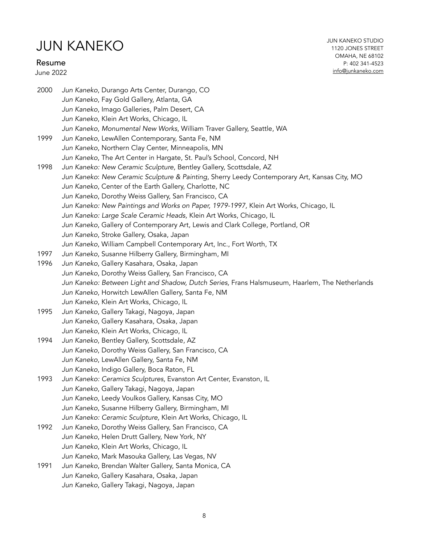#### Resume

June 2022

2000 *Jun Kaneko*, Durango Arts Center, Durango, CO *Jun Kaneko*, Fay Gold Gallery, Atlanta, GA *Jun Kaneko*, Imago Galleries, Palm Desert, CA *Jun Kaneko*, Klein Art Works, Chicago, IL *Jun Kaneko*, *Monumental New Works*, William Traver Gallery, Seattle, WA 1999 *Jun Kaneko*, LewAllen Contemporary, Santa Fe, NM *Jun Kaneko*, Northern Clay Center, Minneapolis, MN *Jun Kaneko*, The Art Center in Hargate, St. Paul's School, Concord, NH 1998 *Jun Kaneko: New Ceramic Sculpture*, Bentley Gallery, Scottsdale, AZ *Jun Kaneko*: *New Ceramic Sculpture & Painting*, Sherry Leedy Contemporary Art, Kansas City, MO *Jun Kaneko*, Center of the Earth Gallery, Charlotte, NC *Jun Kaneko*, Dorothy Weiss Gallery, San Francisco, CA *Jun Kaneko: New Paintings and Works on Paper, 1979-1997,* Klein Art Works, Chicago, IL *Jun Kaneko: Large Scale Ceramic Heads,* Klein Art Works, Chicago, IL *Jun Kaneko*, Gallery of Contemporary Art, Lewis and Clark College, Portland, OR *Jun Kaneko*, Stroke Gallery, Osaka, Japan *Jun Kaneko*, William Campbell Contemporary Art, Inc., Fort Worth, TX 1997 *Jun Kaneko*, Susanne Hilberry Gallery, Birmingham, MI 1996 *Jun Kaneko*, Gallery Kasahara, Osaka, Japan *Jun Kaneko*, Dorothy Weiss Gallery, San Francisco, CA *Jun Kaneko: Between Light and Shadow, Dutch Series,* Frans Halsmuseum, Haarlem, The Netherlands *Jun Kaneko*, Horwitch LewAllen Gallery, Santa Fe, NM *Jun Kaneko*, Klein Art Works, Chicago, IL 1995 *Jun Kaneko*, Gallery Takagi, Nagoya, Japan *Jun Kaneko*, Gallery Kasahara, Osaka, Japan *Jun Kaneko*, Klein Art Works, Chicago, IL 1994 *Jun Kaneko*, Bentley Gallery, Scottsdale, AZ *Jun Kaneko*, Dorothy Weiss Gallery, San Francisco, CA *Jun Kaneko*, LewAllen Gallery, Santa Fe, NM *Jun Kaneko*, Indigo Gallery, Boca Raton, FL 1993 *Jun Kaneko: Ceramics Sculptures*, Evanston Art Center, Evanston, IL *Jun Kaneko*, Gallery Takagi, Nagoya, Japan *Jun Kaneko*, Leedy Voulkos Gallery, Kansas City, MO *Jun Kaneko*, Susanne Hilberry Gallery, Birmingham, MI *Jun Kaneko: Ceramic Sculpture,* Klein Art Works, Chicago, IL 1992 *Jun Kaneko*, Dorothy Weiss Gallery, San Francisco, CA *Jun Kaneko*, Helen Drutt Gallery, New York, NY *Jun Kaneko*, Klein Art Works, Chicago, IL *Jun Kaneko*, Mark Masouka Gallery, Las Vegas, NV 1991 *Jun Kaneko*, Brendan Walter Gallery, Santa Monica, CA *Jun Kaneko*, Gallery Kasahara, Osaka, Japan *Jun Kaneko*, Gallery Takagi, Nagoya, Japan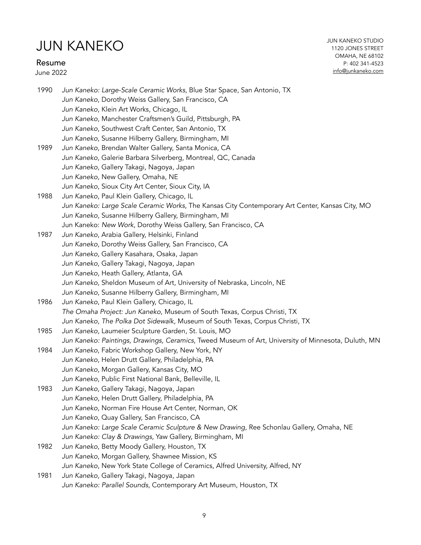### Resume

June 2022

JUN KANEKO STUDIO 1120 JONES STREET OMAHA, NE 68102 P: 402 341-4523 [info@junkaneko.com](mailto:info@junkaneko.com?subject=)

| 1990 | Jun Kaneko: Large-Scale Ceramic Works, Blue Star Space, San Antonio, TX                             |
|------|-----------------------------------------------------------------------------------------------------|
|      | Jun Kaneko, Dorothy Weiss Gallery, San Francisco, CA                                                |
|      | Jun Kaneko, Klein Art Works, Chicago, IL                                                            |
|      | Jun Kaneko, Manchester Craftsmen's Guild, Pittsburgh, PA                                            |
|      | Jun Kaneko, Southwest Craft Center, San Antonio, TX                                                 |
|      | Jun Kaneko, Susanne Hilberry Gallery, Birmingham, MI                                                |
| 1989 | Jun Kaneko, Brendan Walter Gallery, Santa Monica, CA                                                |
|      | Jun Kaneko, Galerie Barbara Silverberg, Montreal, QC, Canada                                        |
|      | Jun Kaneko, Gallery Takagi, Nagoya, Japan                                                           |
|      | Jun Kaneko, New Gallery, Omaha, NE                                                                  |
|      | Jun Kaneko, Sioux City Art Center, Sioux City, IA                                                   |
| 1988 | Jun Kaneko, Paul Klein Gallery, Chicago, IL                                                         |
|      | Jun Kaneko: Large Scale Ceramic Works, The Kansas City Contemporary Art Center, Kansas City, MO     |
|      | Jun Kaneko, Susanne Hilberry Gallery, Birmingham, MI                                                |
|      | Jun Kaneko: New Work, Dorothy Weiss Gallery, San Francisco, CA                                      |
| 1987 | Jun Kaneko, Arabia Gallery, Helsinki, Finland                                                       |
|      | Jun Kaneko, Dorothy Weiss Gallery, San Francisco, CA                                                |
|      | Jun Kaneko, Gallery Kasahara, Osaka, Japan                                                          |
|      | Jun Kaneko, Gallery Takagi, Nagoya, Japan                                                           |
|      | Jun Kaneko, Heath Gallery, Atlanta, GA                                                              |
|      | Jun Kaneko, Sheldon Museum of Art, University of Nebraska, Lincoln, NE                              |
|      | Jun Kaneko, Susanne Hilberry Gallery, Birmingham, MI                                                |
| 1986 | Jun Kaneko, Paul Klein Gallery, Chicago, IL                                                         |
|      | The Omaha Project: Jun Kaneko, Museum of South Texas, Corpus Christi, TX                            |
|      | Jun Kaneko, The Polka Dot Sidewalk, Museum of South Texas, Corpus Christi, TX                       |
| 1985 | Jun Kaneko, Laumeier Sculpture Garden, St. Louis, MO                                                |
|      | Jun Kaneko: Paintings, Drawings, Ceramics, Tweed Museum of Art, University of Minnesota, Duluth, MN |
| 1984 | Jun Kaneko, Fabric Workshop Gallery, New York, NY                                                   |
|      | Jun Kaneko, Helen Drutt Gallery, Philadelphia, PA                                                   |
|      | Jun Kaneko, Morgan Gallery, Kansas City, MO                                                         |
|      | Jun Kaneko, Public First National Bank, Belleville, IL                                              |
| 1983 | Jun Kaneko, Gallery Takagi, Nagoya, Japan                                                           |
|      | Jun Kaneko, Helen Drutt Gallery, Philadelphia, PA                                                   |
|      | Jun Kaneko, Norman Fire House Art Center, Norman, OK                                                |
|      | Jun Kaneko, Quay Gallery, San Francisco, CA                                                         |
|      | Jun Kaneko: Large Scale Ceramic Sculpture & New Drawing, Ree Schonlau Gallery, Omaha, NE            |
|      | Jun Kaneko: Clay & Drawings, Yaw Gallery, Birmingham, MI                                            |
| 1982 | Jun Kaneko, Betty Moody Gallery, Houston, TX                                                        |
|      | Jun Kaneko, Morgan Gallery, Shawnee Mission, KS                                                     |
|      | Jun Kaneko, New York State College of Ceramics, Alfred University, Alfred, NY                       |
| 1981 | Jun Kaneko, Gallery Takagi, Nagoya, Japan                                                           |
|      | Jun Kaneko: Parallel Sounds, Contemporary Art Museum, Houston, TX                                   |
|      |                                                                                                     |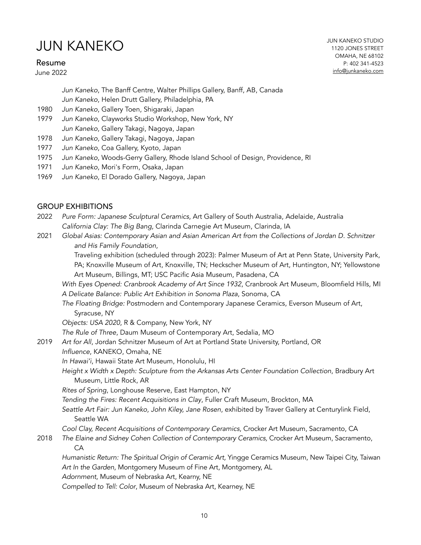#### Resume

June 2022

JUN KANEKO STUDIO 1120 JONES STREET OMAHA, NE 68102 P: 402 341-4523 [info@junkaneko.com](mailto:info@junkaneko.com?subject=)

*Jun Kaneko*, The Banff Centre, Walter Phillips Gallery, Banff, AB, Canada

*Jun Kaneko*, Helen Drutt Gallery, Philadelphia, PA

- 1980 *Jun Kaneko*, Gallery Toen, Shigaraki, Japan
- 1979 *Jun Kaneko*, Clayworks Studio Workshop, New York, NY *Jun Kaneko*, Gallery Takagi, Nagoya, Japan
- 1978 *Jun Kaneko*, Gallery Takagi, Nagoya, Japan
- 1977 *Jun Kaneko*, Coa Gallery, Kyoto, Japan
- 1975 *Jun Kaneko*, Woods-Gerry Gallery, Rhode Island School of Design, Providence, RI
- 1971 *Jun Kaneko*, Mori's Form, Osaka, Japan
- 1969 *Jun Kaneko*, El Dorado Gallery, Nagoya, Japan

#### GROUP EXHIBITIONS

- 2022 *Pure Form: Japanese Sculptural Ceramics*, Art Gallery of South Australia, Adelaide, Australia *California Clay: The Big Bang*, Clarinda Carnegie Art Museum, Clarinda, IA
- 2021 *Global Asias: Contemporary Asian and Asian American Art from the Collections of Jordan D. Schnitzer and His Family Foundation*,

Traveling exhibition (scheduled through 2023): Palmer Museum of Art at Penn State, University Park, PA; Knoxville Museum of Art, Knoxville, TN; Heckscher Museum of Art, Huntington, NY; Yellowstone Art Museum, Billings, MT; USC Pacific Asia Museum, Pasadena, CA

*With Eyes Opened: Cranbrook Academy of Art Since 1932*, Cranbrook Art Museum, Bloomfield Hills, MI *A Delicate Balance: Public Art Exhibition in Sonoma Plaza*, Sonoma, CA

*The Floating Bridge:* Postmodern and Contemporary Japanese Ceramics, Everson Museum of Art, Syracuse, NY

*Objects: USA 2020*, R & Company, New York, NY

*The Rule of Three*, Daum Museum of Contemporary Art, Sedalia, MO

- 2019 *Art for All*, Jordan Schnitzer Museum of Art at Portland State University, Portland, OR
	- *Influence*, KANEKO, Omaha, NE

*In Hawai'i*, Hawaii State Art Museum, Honolulu, HI

*Height x Width x Depth: Sculpture from the Arkansas Arts Center Foundation Collection*, Bradbury Art Museum, Little Rock, AR

*Rites of Spring*, Longhouse Reserve, East Hampton, NY

*Tending the Fires: Recent Acquisitions in Clay*, Fuller Craft Museum, Brockton, MA

*Seattle Art Fair: Jun Kaneko, John Kiley, Jane Rosen*, exhibited by Traver Gallery at Centurylink Field, Seattle WA

*Cool Clay, Recent Acquisitions of Contemporary Ceramics*, Crocker Art Museum, Sacramento, CA

2018 *The Elaine and Sidney Cohen Collection of Contemporary Ceramics,* Crocker Art Museum, Sacramento, CA

*Humanistic Return: The Spiritual Origin of Ceramic Art,* Yingge Ceramics Museum, New Taipei City, Taiwan *Art In the Garden*, Montgomery Museum of Fine Art, Montgomery, AL *Adornment*, Museum of Nebraska Art, Kearny, NE

*Compelled to Tell: Color*, Museum of Nebraska Art, Kearney, NE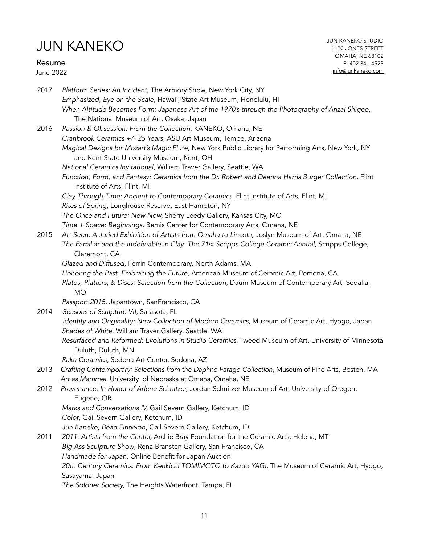### Resume

June 2022

| 2017 | Platform Series: An Incident, The Armory Show, New York City, NY<br>Emphasized, Eye on the Scale, Hawaii, State Art Museum, Honolulu, HI<br>When Altitude Becomes Form: Japanese Art of the 1970's through the Photography of Anzai Shigeo, |
|------|---------------------------------------------------------------------------------------------------------------------------------------------------------------------------------------------------------------------------------------------|
|      | The National Museum of Art, Osaka, Japan                                                                                                                                                                                                    |
| 2016 | Passion & Obsession: From the Collection, KANEKO, Omaha, NE                                                                                                                                                                                 |
|      | Cranbrook Ceramics +/- 25 Years, ASU Art Museum, Tempe, Arizona                                                                                                                                                                             |
|      | Magical Designs for Mozart's Magic Flute, New York Public Library for Performing Arts, New York, NY                                                                                                                                         |
|      | and Kent State University Museum, Kent, OH                                                                                                                                                                                                  |
|      | National Ceramics Invitational, William Traver Gallery, Seattle, WA                                                                                                                                                                         |
|      | Function, Form, and Fantasy: Ceramics from the Dr. Robert and Deanna Harris Burger Collection, Flint<br>Institute of Arts, Flint, MI                                                                                                        |
|      | Clay Through Time: Ancient to Contemporary Ceramics, Flint Institute of Arts, Flint, MI                                                                                                                                                     |
|      | Rites of Spring, Longhouse Reserve, East Hampton, NY                                                                                                                                                                                        |
|      | The Once and Future: New Now, Sherry Leedy Gallery, Kansas City, MO                                                                                                                                                                         |
|      | Time + Space: Beginnings, Bemis Center for Contemporary Arts, Omaha, NE                                                                                                                                                                     |
| 2015 | Art Seen: A Juried Exhibition of Artists from Omaha to Lincoln, Joslyn Museum of Art, Omaha, NE                                                                                                                                             |
|      | The Familiar and the Indefinable in Clay: The 71st Scripps College Ceramic Annual, Scripps College,<br>Claremont, CA                                                                                                                        |
|      | Glazed and Diffused, Ferrin Contemporary, North Adams, MA                                                                                                                                                                                   |
|      | Honoring the Past, Embracing the Future, American Museum of Ceramic Art, Pomona, CA                                                                                                                                                         |
|      | Plates, Platters, & Discs: Selection from the Collection, Daum Museum of Contemporary Art, Sedalia,<br><b>MO</b>                                                                                                                            |
|      | Passport 2015, Japantown, SanFrancisco, CA                                                                                                                                                                                                  |
| 2014 | Seasons of Sculpture VII, Sarasota, FL                                                                                                                                                                                                      |
|      | Identity and Originality: New Collection of Modern Ceramics, Museum of Ceramic Art, Hyogo, Japan<br>Shades of White, William Traver Gallery, Seattle, WA                                                                                    |
|      | Resurfaced and Reformed: Evolutions in Studio Ceramics, Tweed Museum of Art, University of Minnesota<br>Duluth, Duluth, MN                                                                                                                  |
|      | Raku Ceramics, Sedona Art Center, Sedona, AZ                                                                                                                                                                                                |
| 2013 | Crafting Contemporary: Selections from the Daphne Farago Collection, Museum of Fine Arts, Boston, MA                                                                                                                                        |
|      | Art as Mammel, University of Nebraska at Omaha, Omaha, NE                                                                                                                                                                                   |
| 2012 | Provenance: In Honor of Arlene Schnitzer, Jordan Schnitzer Museum of Art, University of Oregon,<br>Eugene, OR                                                                                                                               |
|      | Marks and Conversations IV, Gail Severn Gallery, Ketchum, ID                                                                                                                                                                                |
|      | Color, Gail Severn Gallery, Ketchum, ID                                                                                                                                                                                                     |
|      | Jun Kaneko, Bean Finneran, Gail Severn Gallery, Ketchum, ID                                                                                                                                                                                 |
| 2011 | 2011: Artists from the Center, Archie Bray Foundation for the Ceramic Arts, Helena, MT                                                                                                                                                      |
|      | Big Ass Sculpture Show, Rena Bransten Gallery, San Francisco, CA                                                                                                                                                                            |
|      | Handmade for Japan, Online Benefit for Japan Auction                                                                                                                                                                                        |
|      | 20th Century Ceramics: From Kenkichi TOMIMOTO to Kazuo YAGI, The Museum of Ceramic Art, Hyogo,                                                                                                                                              |
|      | Sasayama, Japan                                                                                                                                                                                                                             |
|      | The Soldner Society, The Heights Waterfront, Tampa, FL                                                                                                                                                                                      |
|      |                                                                                                                                                                                                                                             |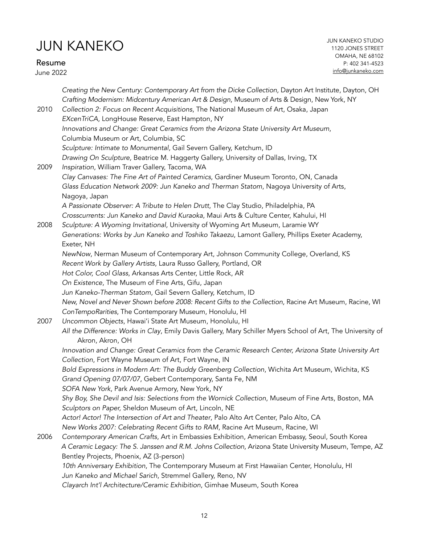Resume

June 2022

*Creating the New Century: Contemporary Art from the Dicke Collection, Dayton Art Institute, Dayton, OH Crafting Modernism: Midcentury American Art & Design*, Museum of Arts & Design, New York, NY 2010 *Collection 2: Focus on Recent Acquisitions*, The National Museum of Art, Osaka, Japan *EXcenTriCA*, LongHouse Reserve, East Hampton, NY *Innovations and Change: Great Ceramics from the Arizona State University Art Museum*, Columbia Museum or Art, Columbia, SC *Sculpture: Intimate to Monumental,* Gail Severn Gallery, Ketchum, ID *Drawing On Sculpture,* Beatrice M. Haggerty Gallery, University of Dallas, Irving, TX 2009 *Inspiration*, William Traver Gallery, Tacoma, WA *Clay Canvases: The Fine Art of Painted Ceramics*, Gardiner Museum Toronto, ON, Canada *Glass Education Network 2009: Jun Kaneko and Therman Statom*, Nagoya University of Arts, Nagoya, Japan *A Passionate Observer: A Tribute to Helen Drutt*, The Clay Studio, Philadelphia, PA *Crosscurrents: Jun Kaneko and David Kuraoka*, Maui Arts & Culture Center, Kahului, HI 2008 *Sculpture: A Wyoming Invitational,* University of Wyoming Art Museum, Laramie WY *Generations: Works by Jun Kaneko and Toshiko Takaezu*, Lamont Gallery, Phillips Exeter Academy, Exeter, NH *NewNow*, Nerman Museum of Contemporary Art, Johnson Community College, Overland, KS *Recent Work by Gallery Artists*, Laura Russo Gallery, Portland, OR *Hot Color, Cool Glass*, Arkansas Arts Center, Little Rock, AR *On Existence*, The Museum of Fine Arts, Gifu, Japan *Jun Kaneko-Therman Statom*, Gail Severn Gallery, Ketchum, ID *New, Novel and Never Shown before 2008: Recent Gifts to the Collection,* Racine Art Museum, Racine, WI *ConTempoRarities*, The Contemporary Museum, Honolulu, HI 2007 *Uncommon Objects*, Hawai'i State Art Museum, Honolulu, HI *All the Difference: Works in Clay*, Emily Davis Gallery, Mary Schiller Myers School of Art, The University of Akron, Akron, OH *Innovation and Change: Great Ceramics from the Ceramic Research Center, Arizona State University Art Collection*, Fort Wayne Museum of Art, Fort Wayne, IN *Bold Expressions in Modern Art: The Buddy Greenberg Collection*, Wichita Art Museum, Wichita, KS *Grand Opening 07/07/07*, Gebert Contemporary, Santa Fe, NM *SOFA New York*, Park Avenue Armory, New York, NY *Shy Boy, She Devil and Isis: Selections from the Wornick Collection*, Museum of Fine Arts, Boston, MA *Sculptors on Paper,* Sheldon Museum of Art, Lincoln, NE *Actor! Actor! The Intersection of Art and Theater*, Palo Alto Art Center, Palo Alto, CA *New Works 2007: Celebrating Recent Gifts to RAM*, Racine Art Museum, Racine, WI 2006 *Contemporary American Crafts*, Art in Embassies Exhibition, American Embassy, Seoul, South Korea *A Ceramic Legacy: The S. Janssen and R.M. Johns Collection*, Arizona State University Museum, Tempe, AZ Bentley Projects, Phoenix, AZ (3-person) *10th Anniversary Exhibition*, The Contemporary Museum at First Hawaiian Center, Honolulu, HI *Jun Kaneko and Michael Sarich*, Stremmel Gallery, Reno, NV *Clayarch Int'l Architecture/Ceramic Exhibition*, Gimhae Museum, South Korea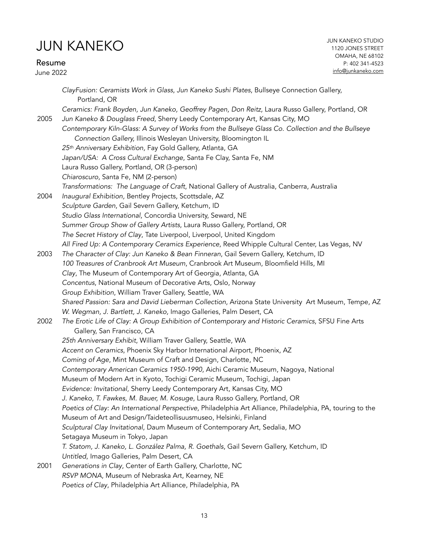Resume June 2022 JUN KANEKO STUDIO 1120 JONES STREET OMAHA, NE 68102 P: 402 341-4523 [info@junkaneko.com](mailto:info@junkaneko.com?subject=)

|      | ClayFusion: Ceramists Work in Glass, Jun Kaneko Sushi Plates, Bullseye Connection Gallery,<br>Portland, OR                                                                      |
|------|---------------------------------------------------------------------------------------------------------------------------------------------------------------------------------|
| 2005 | Ceramics: Frank Boyden, Jun Kaneko, Geoffrey Pagen, Don Reitz, Laura Russo Gallery, Portland, OR<br>Jun Kaneko & Douglass Freed, Sherry Leedy Contemporary Art, Kansas City, MO |
|      | Contemporary Kiln-Glass: A Survey of Works from the Bullseye Glass Co. Collection and the Bullseye<br>Connection Gallery, Illinois Wesleyan University, Bloomington IL          |
|      | 25th Anniversary Exhibition, Fay Gold Gallery, Atlanta, GA                                                                                                                      |
|      | Japan/USA: A Cross Cultural Exchange, Santa Fe Clay, Santa Fe, NM                                                                                                               |
|      | Laura Russo Gallery, Portland, OR (3-person)                                                                                                                                    |
|      | Chiaroscuro, Santa Fe, NM (2-person)                                                                                                                                            |
|      | Transformations: The Language of Craft, National Gallery of Australia, Canberra, Australia                                                                                      |
| 2004 | Inaugural Exhibition, Bentley Projects, Scottsdale, AZ                                                                                                                          |
|      | Sculpture Garden, Gail Severn Gallery, Ketchum, ID                                                                                                                              |
|      | Studio Glass International, Concordia University, Seward, NE                                                                                                                    |
|      | Summer Group Show of Gallery Artists, Laura Russo Gallery, Portland, OR                                                                                                         |
|      | The Secret History of Clay, Tate Liverpool, Liverpool, United Kingdom                                                                                                           |
|      | All Fired Up: A Contemporary Ceramics Experience, Reed Whipple Cultural Center, Las Vegas, NV                                                                                   |
| 2003 | The Character of Clay: Jun Kaneko & Bean Finneran, Gail Severn Gallery, Ketchum, ID                                                                                             |
|      | 100 Treasures of Cranbrook Art Museum, Cranbrook Art Museum, Bloomfield Hills, MI                                                                                               |
|      | Clay, The Museum of Contemporary Art of Georgia, Atlanta, GA                                                                                                                    |
|      | Concentus, National Museum of Decorative Arts, Oslo, Norway                                                                                                                     |
|      | Group Exhibition, William Traver Gallery, Seattle, WA                                                                                                                           |
|      | Shared Passion: Sara and David Lieberman Collection, Arizona State University Art Museum, Tempe, AZ                                                                             |
|      | W. Wegman, J. Bartlett, J. Kaneko, Imago Galleries, Palm Desert, CA                                                                                                             |
| 2002 | The Erotic Life of Clay: A Group Exhibition of Contemporary and Historic Ceramics, SFSU Fine Arts<br>Gallery, San Francisco, CA                                                 |
|      | 25th Anniversary Exhibit, William Traver Gallery, Seattle, WA                                                                                                                   |
|      | Accent on Ceramics, Phoenix Sky Harbor International Airport, Phoenix, AZ                                                                                                       |
|      | Coming of Age, Mint Museum of Craft and Design, Charlotte, NC                                                                                                                   |
|      | Contemporary American Ceramics 1950-1990, Aichi Ceramic Museum, Nagoya, National                                                                                                |
|      | Museum of Modern Art in Kyoto, Tochigi Ceramic Museum, Tochigi, Japan                                                                                                           |
|      | Evidence: Invitational, Sherry Leedy Contemporary Art, Kansas City, MO                                                                                                          |
|      | J. Kaneko, T. Fawkes, M. Bauer, M. Kosuge, Laura Russo Gallery, Portland, OR                                                                                                    |
|      | Poetics of Clay: An International Perspective, Philadelphia Art Alliance, Philadelphia, PA, touring to the                                                                      |
|      | Museum of Art and Design/Taideteollisuusmuseo, Helsinki, Finland                                                                                                                |
|      | Sculptural Clay Invitational, Daum Museum of Contemporary Art, Sedalia, MO                                                                                                      |
|      | Setagaya Museum in Tokyo, Japan                                                                                                                                                 |
|      | T. Statom, J. Kaneko, L. González Palma, R. Goethals, Gail Severn Gallery, Ketchum, ID                                                                                          |
| 2001 | Untitled, Imago Galleries, Palm Desert, CA<br>Generations in Clay, Center of Earth Gallery, Charlotte, NC                                                                       |
|      | RSVP MONA, Museum of Nebraska Art, Kearney, NE                                                                                                                                  |
|      | Poetics of Clay, Philadelphia Art Alliance, Philadelphia, PA                                                                                                                    |
|      |                                                                                                                                                                                 |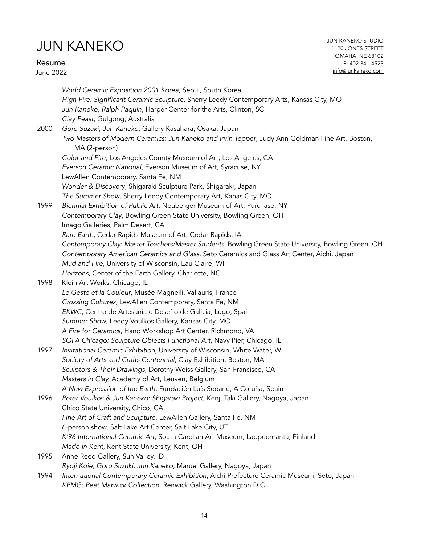Resume June 2022 JUN KANEKO STUDIO 1120 JONES STREET OMAHA, NE 68102 P: 402 341-4523 [info@junkaneko.com](mailto:info@junkaneko.com?subject=)

*World Ceramic Exposition 2001 Korea*, Seoul, South Korea *High Fire: Significant Ceramic Sculpture*, Sherry Leedy Contemporary Arts, Kansas City, MO *Jun Kaneko, Ralph Paquin*, Harper Center for the Arts, Clinton, SC *Clay Feast*, Gulgong, Australia 2000 *Goro Suzuki, Jun Kaneko*, Gallery Kasahara, Osaka, Japan *Two Masters of Modern Ceramics: Jun Kaneko and Irvin Tepper*, Judy Ann Goldman Fine Art, Boston, MA (2-person) *Color and Fire*, Los Angeles County Museum of Art, Los Angeles, CA *Everson Ceramic National*, Everson Museum of Art, Syracuse, NY LewAllen Contemporary, Santa Fe, NM *Wonder & Discovery*, Shigaraki Sculpture Park, Shigaraki, Japan *The Summer Show*, Sherry Leedy Contemporary Art, Kanas City, MO 1999 *Biennial Exhibition of Public Art,* Neuberger Museum of Art, Purchase, NY *Contemporary Clay*, Bowling Green State University, Bowling Green, OH Imago Galleries, Palm Desert, CA *Rare Earth*, Cedar Rapids Museum of Art, Cedar Rapids, IA *Contemporary Clay: Master Teachers/Master Students*, Bowling Green State University, Bowling Green, OH *Contemporary American Ceramics and Glass*, Seto Ceramics and Glass Art Center, Aichi, Japan *Mud and Fire*, University of Wisconsin, Eau Claire, WI *Horizons*, Center of the Earth Gallery, Charlotte, NC 1998 Klein Art Works, Chicago, IL *Le Geste et la Couleur*, Musée Magnelli, Vallauris, France *Crossing Cultures*, LewAllen Contemporary, Santa Fe, NM *EKWC*, Centro de Artesanía e Deseño de Galicia, Lugo, Spain *Summer Show*, Leedy Voulkos Gallery, Kansas City, MO *A Fire for Ceramics,* Hand Workshop Art Center, Richmond, VA *SOFA Chicago: Sculpture Objects Functional Art*, Navy Pier, Chicago, IL 1997 *Invitational Ceramic Exhibition*, University of Wisconsin, White Water, WI *Society of Arts and Crafts Centennial*, Clay Exhibition, Boston, MA *Sculptors & Their Drawings*, Dorothy Weiss Gallery, San Francisco, CA *Masters in Clay,* Academy of Art, Leuven, Belgium *A New Expression of the Earth*, Fundación Luís Seoane, A Coruña, Spain 1996 *Peter Voulkos & Jun Kaneko: Shigaraki Project*, Kenji Taki Gallery, Nagoya, Japan Chico State University, Chico, CA *Fine Art of Craft and Sculpture*, LewAllen Gallery, Santa Fe, NM 6-person show, Salt Lake Art Center, Salt Lake City, UT *K'96 International Ceramic Art*, South Carelian Art Museum, Lappeenranta, Finland *Made in Kent*, Kent State University, Kent, OH 1995 Anne Reed Gallery, Sun Valley, ID *Ryoji Koie, Goro Suzuki, Jun Kaneko,* Maruei Gallery, Nagoya, Japan 1994 *International Contemporary Ceramic Exhibition*, Aichi Prefecture Ceramic Museum, Seto, Japan *KPMG: Peat Marwick Collection*, Renwick Gallery, Washington D.C.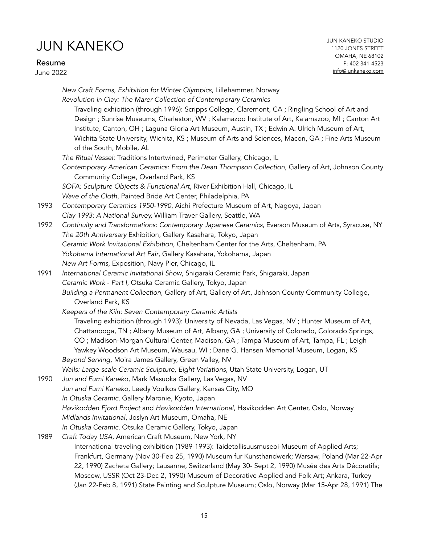Resume

June 2022

|      | New Craft Forms, Exhibition for Winter Olympics, Lillehammer, Norway                                                                                                                                                                                                                                                                                                                                                                |
|------|-------------------------------------------------------------------------------------------------------------------------------------------------------------------------------------------------------------------------------------------------------------------------------------------------------------------------------------------------------------------------------------------------------------------------------------|
|      | Revolution in Clay: The Marer Collection of Contemporary Ceramics                                                                                                                                                                                                                                                                                                                                                                   |
|      | Traveling exhibition (through 1996): Scripps College, Claremont, CA ; Ringling School of Art and<br>Design ; Sunrise Museums, Charleston, WV ; Kalamazoo Institute of Art, Kalamazoo, MI ; Canton Art<br>Institute, Canton, OH; Laguna Gloria Art Museum, Austin, TX; Edwin A. Ulrich Museum of Art,<br>Wichita State University, Wichita, KS; Museum of Arts and Sciences, Macon, GA; Fine Arts Museum<br>of the South, Mobile, AL |
|      | The Ritual Vessel: Traditions Intertwined, Perimeter Gallery, Chicago, IL                                                                                                                                                                                                                                                                                                                                                           |
|      | Contemporary American Ceramics: From the Dean Thompson Collection, Gallery of Art, Johnson County<br>Community College, Overland Park, KS                                                                                                                                                                                                                                                                                           |
|      | SOFA: Sculpture Objects & Functional Art, River Exhibition Hall, Chicago, IL                                                                                                                                                                                                                                                                                                                                                        |
|      | Wave of the Cloth, Painted Bride Art Center, Philadelphia, PA                                                                                                                                                                                                                                                                                                                                                                       |
| 1993 | Contemporary Ceramics 1950-1990, Aichi Prefecture Museum of Art, Nagoya, Japan                                                                                                                                                                                                                                                                                                                                                      |
|      | Clay 1993: A National Survey, William Traver Gallery, Seattle, WA                                                                                                                                                                                                                                                                                                                                                                   |
| 1992 | Continuity and Transformations: Contemporary Japanese Ceramics, Everson Museum of Arts, Syracuse, NY<br>The 20th Anniversary Exhibition, Gallery Kasahara, Tokyo, Japan                                                                                                                                                                                                                                                             |
|      | Ceramic Work Invitational Exhibition, Cheltenham Center for the Arts, Cheltenham, PA                                                                                                                                                                                                                                                                                                                                                |
|      | Yokohama International Art Fair, Gallery Kasahara, Yokohama, Japan                                                                                                                                                                                                                                                                                                                                                                  |
|      | New Art Forms, Exposition, Navy Pier, Chicago, IL                                                                                                                                                                                                                                                                                                                                                                                   |
| 1991 | International Ceramic Invitational Show, Shigaraki Ceramic Park, Shigaraki, Japan                                                                                                                                                                                                                                                                                                                                                   |
|      | Ceramic Work - Part I, Otsuka Ceramic Gallery, Tokyo, Japan                                                                                                                                                                                                                                                                                                                                                                         |
|      | Building a Permanent Collection, Gallery of Art, Gallery of Art, Johnson County Community College,<br>Overland Park, KS                                                                                                                                                                                                                                                                                                             |
|      | Keepers of the Kiln: Seven Contemporary Ceramic Artists                                                                                                                                                                                                                                                                                                                                                                             |
|      | Traveling exhibition (through 1993): University of Nevada, Las Vegas, NV; Hunter Museum of Art,<br>Chattanooga, TN; Albany Museum of Art, Albany, GA; University of Colorado, Colorado Springs,<br>CO; Madison-Morgan Cultural Center, Madison, GA; Tampa Museum of Art, Tampa, FL; Leigh<br>Yawkey Woodson Art Museum, Wausau, WI; Dane G. Hansen Memorial Museum, Logan, KS                                                       |
|      | Beyond Serving, Moira James Gallery, Green Valley, NV                                                                                                                                                                                                                                                                                                                                                                               |
|      | Walls: Large-scale Ceramic Sculpture, Eight Variations, Utah State University, Logan, UT                                                                                                                                                                                                                                                                                                                                            |
| 1990 | Jun and Fumi Kaneko, Mark Masuoka Gallery, Las Vegas, NV                                                                                                                                                                                                                                                                                                                                                                            |
|      | Jun and Fumi Kaneko, Leedy Voulkos Gallery, Kansas City, MO                                                                                                                                                                                                                                                                                                                                                                         |
|      | In Otuska Ceramic, Gallery Maronie, Kyoto, Japan                                                                                                                                                                                                                                                                                                                                                                                    |
|      | Høvikodden Fjord Project and Høvikodden International, Høvikodden Art Center, Oslo, Norway                                                                                                                                                                                                                                                                                                                                          |
|      | Midlands Invitational, Joslyn Art Museum, Omaha, NE                                                                                                                                                                                                                                                                                                                                                                                 |
|      | In Otuska Ceramic, Otsuka Ceramic Gallery, Tokyo, Japan                                                                                                                                                                                                                                                                                                                                                                             |
| 1989 | Craft Today USA, American Craft Museum, New York, NY                                                                                                                                                                                                                                                                                                                                                                                |
|      | International traveling exhibition (1989-1993): Taidetollisuusmuseoi-Museum of Applied Arts;                                                                                                                                                                                                                                                                                                                                        |
|      | Frankfurt, Germany (Nov 30-Feb 25, 1990) Museum fur Kunsthandwerk; Warsaw, Poland (Mar 22-Apr                                                                                                                                                                                                                                                                                                                                       |
|      | 22, 1990) Zacheta Gallery; Lausanne, Switzerland (May 30- Sept 2, 1990) Musée des Arts Décoratifs;                                                                                                                                                                                                                                                                                                                                  |
|      | Moscow, USSR (Oct 23-Dec 2, 1990) Museum of Decorative Applied and Folk Art; Ankara, Turkey                                                                                                                                                                                                                                                                                                                                         |

(Jan 22-Feb 8, 1991) State Painting and Sculpture Museum; Oslo, Norway (Mar 15-Apr 28, 1991) The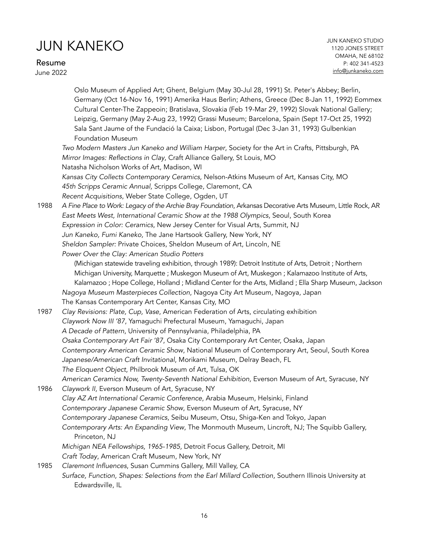Resume

June 2022

Oslo Museum of Applied Art; Ghent, Belgium (May 30-Jul 28, 1991) St. Peter's Abbey; Berlin, Germany (Oct 16-Nov 16, 1991) Amerika Haus Berlin; Athens, Greece (Dec 8-Jan 11, 1992) Eommex Cultural Center-The Zappeoin; Bratislava, Slovakia (Feb 19-Mar 29, 1992) Slovak National Gallery; Leipzig, Germany (May 2-Aug 23, 1992) Grassi Museum; Barcelona, Spain (Sept 17-Oct 25, 1992) Sala Sant Jaume of the Fundació la Caixa; Lisbon, Portugal (Dec 3-Jan 31, 1993) Gulbenkian Foundation Museum *Two Modern Masters Jun Kaneko and William Harper*, Society for the Art in Crafts, Pittsburgh, PA *Mirror Images: Reflections in Clay*, Craft Alliance Gallery, St Louis, MO Natasha Nicholson Works of Art, Madison, WI *Kansas City Collects Contemporary Ceramics,* Nelson-Atkins Museum of Art, Kansas City, MO *45th Scripps Ceramic Annual,* Scripps College, Claremont, CA *Recent Acquisitions*, Weber State College, Ogden, UT 1988 *A Fine Place to Work: Legacy of the Archie Bray Foundation*, Arkansas Decorative Arts Museum, Little Rock, AR *East Meets West, International Ceramic Show at the 1988 Olympics*, Seoul, South Korea *Expression in Color: Ceramics*, New Jersey Center for Visual Arts, Summit, NJ *Jun Kaneko, Fumi Kaneko,* The Jane Hartsook Gallery, New York, NY *Sheldon Sampler:* Private Choices, Sheldon Museum of Art, Lincoln, NE *Power Over the Clay: American Studio Potters* (Michigan statewide traveling exhibition, through 1989): Detroit Institute of Arts, Detroit ; Northern Michigan University, Marquette ; Muskegon Museum of Art, Muskegon ; Kalamazoo Institute of Arts, Kalamazoo ; Hope College, Holland ; Midland Center for the Arts, Midland ; Ella Sharp Museum, Jackson *Nagoya Museum Masterpieces Collection*, Nagoya City Art Museum, Nagoya, Japan The Kansas Contemporary Art Center, Kansas City, MO 1987 *Clay Revisions: Plate, Cup, Vase*, American Federation of Arts, circulating exhibition *Claywork Now III '87*, Yamaguchi Prefectural Museum, Yamaguchi, Japan *A Decade of Pattern*, University of Pennsylvania, Philadelphia, PA *Osaka Contemporary Art Fair '87*, Osaka City Contemporary Art Center, Osaka, Japan *Contemporary American Ceramic Show*, National Museum of Contemporary Art, Seoul, South Korea *Japanese/American Craft Invitational*, Morikami Museum, Delray Beach, FL *The Eloquent Object*, Philbrook Museum of Art, Tulsa, OK *American Ceramics Now, Twenty-Seventh National Exhibition,* Everson Museum of Art, Syracuse, NY 1986 *Claywork II,* Everson Museum of Art, Syracuse, NY *Clay AZ Art International Ceramic Conference*, Arabia Museum, Helsinki, Finland *Contemporary Japanese Ceramic Show*, Everson Museum of Art, Syracuse, NY *Contemporary Japanese Ceramics*, Seibu Museum, Otsu, Shiga-Ken and Tokyo, Japan *Contemporary Arts: An Expanding View*, The Monmouth Museum, Lincroft, NJ; The Squibb Gallery, Princeton, NJ *Michigan NEA Fellowships, 1965-1985,* Detroit Focus Gallery, Detroit, MI *Craft Today*, American Craft Museum, New York, NY 1985 *Claremont Influences*, Susan Cummins Gallery, Mill Valley, CA *Surface, Function, Shapes: Selections from the Earl Millard Collection,* Southern Illinois University at Edwardsville, IL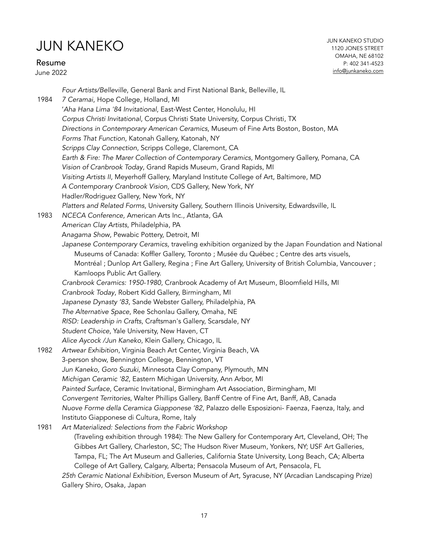Resume

June 2022

JUN KANEKO STUDIO 1120 JONES STREET OMAHA, NE 68102 P: 402 341-4523 [info@junkaneko.com](mailto:info@junkaneko.com?subject=)

*Four Artists/Belleville*, General Bank and First National Bank, Belleville, IL 1984 *7 Ceramai*, Hope College, Holland, MI '*Aha Hana Lima '84 Invitational*, East-West Center, Honolulu, HI *Corpus Christi Invitational*, Corpus Christi State University, Corpus Christi, TX *Directions in Contemporary American Ceramics*, Museum of Fine Arts Boston, Boston, MA *Forms That Function*, Katonah Gallery, Katonah, NY *Scripps Clay Connection*, Scripps College, Claremont, CA *Earth & Fire: The Marer Collection of Contemporary Ceramics,* Montgomery Gallery, Pomana, CA *Vision of Cranbrook Today*, Grand Rapids Museum, Grand Rapids, MI *Visiting Artists II*, Meyerhoff Gallery, Maryland Institute College of Art, Baltimore, MD *A Contemporary Cranbrook Vision*, CDS Gallery, New York, NY Hadler/Rodriguez Gallery, New York, NY *Platters and Related Forms*, University Gallery, Southern Illinois University, Edwardsville, IL 1983 *NCECA Conference,* American Arts Inc., Atlanta, GA *American Clay Artists*, Philadelphia, PA A*nagama Show*, Pewabic Pottery, Detroit, MI *Japanese Contemporary Ceramics,* traveling exhibition organized by the Japan Foundation and National Museums of Canada: Koffler Gallery, Toronto ; Musée du Québec ; Centre des arts visuels, Montréal ; Dunlop Art Gallery, Regina ; Fine Art Gallery, University of British Columbia, Vancouver ; Kamloops Public Art Gallery. *Cranbrook Ceramics: 1950-1980*, Cranbrook Academy of Art Museum, Bloomfield Hills, MI *Cranbrook Today*, Robert Kidd Gallery, Birmingham, MI *Japanese Dynasty '83*, Sande Webster Gallery, Philadelphia, PA *The Alternative Space*, Ree Schonlau Gallery, Omaha, NE *RISD: Leadership in Crafts*, Craftsman's Gallery, Scarsdale, NY *Student Choice*, Yale University, New Haven, CT *Alice Aycock /Jun Kaneko*, Klein Gallery, Chicago, IL 1982 *Artwear Exhibition*, Virginia Beach Art Center, Virginia Beach, VA 3-person show, Bennington College, Bennington, VT *Jun Kaneko, Goro Suzuki*, Minnesota Clay Company, Plymouth, MN *Michigan Ceramic '82*, Eastern Michigan University, Ann Arbor, MI *Painted Surface*, Ceramic Invitational, Birmingham Art Association, Birmingham, MI *Convergent Territories*, Walter Phillips Gallery, Banff Centre of Fine Art, Banff, AB, Canada *Nuove Forme della Ceramica Giapponese '82*, Palazzo delle Esposizioni- Faenza, Faenza, Italy, and Instituto Giapponese di Cultura, Rome, Italy 1981 *Art Materialized: Selections from the Fabric Workshop* (Traveling exhibition through 1984): The New Gallery for Contemporary Art, Cleveland, OH; The Gibbes Art Gallery, Charleston, SC; The Hudson River Museum, Yonkers, NY; USF Art Galleries, Tampa, FL; The Art Museum and Galleries, California State University, Long Beach, CA; Alberta College of Art Gallery, Calgary, Alberta; Pensacola Museum of Art, Pensacola, FL *25th Ceramic National Exhibition*, Everson Museum of Art, Syracuse, NY (Arcadian Landscaping Prize) Gallery Shiro, Osaka, Japan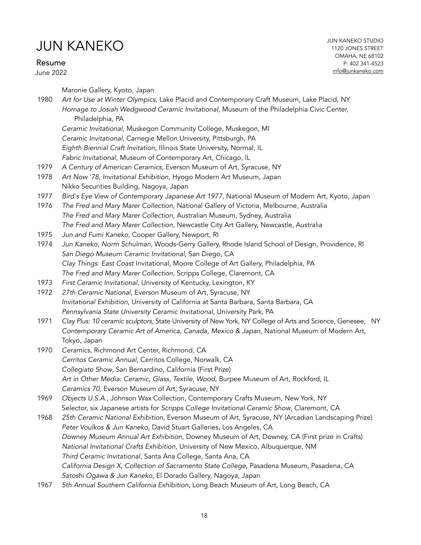Resume

June 2022

Maronie Gallery, Kyoto, Japan

1980 *Art for Use at Winter Olympics*, Lake Placid and Contemporary Craft Museum, Lake Placid, NY *Homage to Josiah Wedgwood Ceramic Invitational*, Museum of the Philadelphia Civic Center, Philadelphia, PA

*Ceramic Invitational*, Muskegon Community College, Muskegon, MI *Ceramic Invitational*, Carnegie Mellon University, Pittsburgh, PA *Eighth Biennial Craft Invitation*, Illinois State University, Normal, IL

*Fabric Invitational*, Museum of Contemporary Art, Chicago, IL

- 1979 *A Century of American Ceramics*, Everson Museum of Art, Syracuse, NY
- 1978 *Art Now '78, Invitational Exhibition*, Hyogo Modern Art Museum, Japan Nikko Securities Building, Nagoya, Japan
- 1977 *Bird's Eye View of Contemporary Japanese Art 1977*, National Museum of Modern Art, Kyoto, Japan
- 1976 *The Fred and Mary Marer Collection*, National Gallery of Victoria, Melbourne, Australia *The Fred and Mary Marer Collection*, Australian Museum, Sydney, Australia *The Fred and Mary Marer Collection*, Newcastle City Art Gallery, Newcastle, Australia
- 1975 *Jun and Fumi Kaneko,* Cooper Gallery, Newport, RI
- 1974 *Jun Kaneko, Norm Schulman,* Woods-Gerry Gallery, Rhode Island School of Design, Providence, RI *San Diego Museum Ceramic Invitational*, San Diego, CA *Clay Things: East Coast* Invitational, Moore College of Art Gallery, Philadelphia, PA *The Fred and Mary Marer Collection*, Scripps College, Claremont, CA
- 1973 *First Ceramic Invitational*, University of Kentucky, Lexington, KY
- 1972 *27th Ceramic National*, Everson Museum of Art, Syracuse, NY *Invitational Exhibition*, University of California at Santa Barbara, Santa Barbara, CA *Pennsylvania State University Ceramic Invitational*, University Park, PA
- 1971 *Clay Plus: 10 ceramic sculptors,* State University of New York, NY College of Arts and Science, Genesee, NY *Contemporary Ceramic Art of America, Canada, Mexico & Japan,* National Museum of Modern Art, Tokyo, Japan
- 1970 *Ceramics*, Richmond Art Center, Richmond, CA *Cerritos Ceramic Annual*, Cerritos College, Norwalk, CA *Collegiate Show*, San Bernardino, California (First Prize) *Art in Other Media: Ceramic, Glass, Textile, Wood*, Burpee Museum of Art, Rockford, IL *Ceramics 70*, Everson Museum of Art, Syracuse, NY
- 1969 *Objects U.S.A.,* Johnson Wax Collection, Contemporary Crafts Museum, New York, NY Selector, six Japanese artists for *Scripps College Invitational Ceramic Show*, Claremont, CA
- 1968 *25th Ceramic National Exhibition*, Everson Museum of Art, Syracuse, NY (Arcadian Landscaping Prize) *Peter Voulkos & Jun Kaneko*, David Stuart Galleries, Los Angeles, CA *Downey Museum Annual Art Exhibition,* Downey Museum of Art, Downey, CA (First prize in Crafts) *National Invitational Crafts Exhibition*, University of New Mexico, Albuquerque, NM *Third Ceramic Invitational*, Santa Ana College, Santa Ana, CA *California Design X, Collection of Sacramento State College*, Pasadena Museum, Pasadena, CA *Satoshi Ogawa & Jun Kaneko*, El Dorado Gallery, Nagoya, Japan
- 1967 *5th Annual Southern California Exhibition*, Long Beach Museum of Art, Long Beach, CA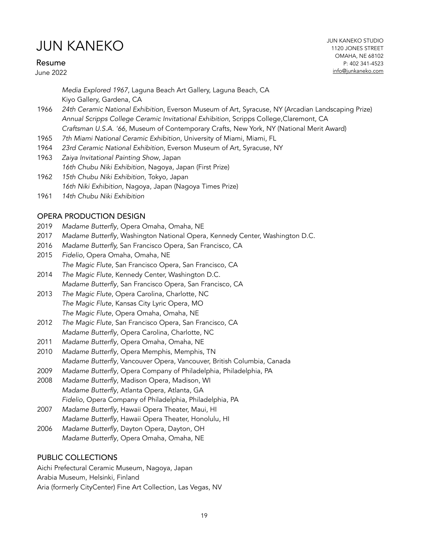#### Resume

June 2022

*Media Explored 1967*, Laguna Beach Art Gallery, Laguna Beach, CA Kiyo Gallery, Gardena, CA

- 1966 *24th Ceramic National Exhibition*, Everson Museum of Art, Syracuse, NY (Arcadian Landscaping Prize) *Annual Scripps College Ceramic Invitational Exhibition*, Scripps College,Claremont, CA *Craftsman U.S.A. '66*, Museum of Contemporary Crafts, New York, NY (National Merit Award)
- 1965 *7th Miami National Ceramic Exhibition*, University of Miami, Miami, FL
- 1964 *23rd Ceramic National Exhibition*, Everson Museum of Art, Syracuse, NY
- 1963 *Zaiya Invitational Painting Show*, Japan *16th Chubu Niki Exhibition*, Nagoya, Japan (First Prize)
- 1962 *15th Chubu Niki Exhibition*, Tokyo, Japan *16th Niki Exhibition*, Nagoya, Japan (Nagoya Times Prize)
- 1961 *14th Chubu Niki Exhibition*

#### OPERA PRODUCTION DESIGN

- 2019 *Madame Butterfly*, Opera Omaha, Omaha, NE
- 2017 *Madame Butterfly*, Washington National Opera, Kennedy Center, Washington D.C.
- 2016 *Madame Butterfly,* San Francisco Opera, San Francisco, CA
- 2015 *Fidelio*, Opera Omaha, Omaha, NE *The Magic Flute*, San Francisco Opera, San Francisco, CA
- 2014 *The Magic Flute,* Kennedy Center, Washington D.C. *Madame Butterfly*, San Francisco Opera, San Francisco, CA
- 2013 *The Magic Flute*, Opera Carolina, Charlotte, NC *The Magic Flute*, Kansas City Lyric Opera, MO *The Magic Flute*, Opera Omaha, Omaha, NE
- 2012 *The Magic Flute*, San Francisco Opera, San Francisco, CA *Madame Butterfly*, Opera Carolina, Charlotte, NC
- 2011 *Madame Butterfly*, Opera Omaha, Omaha, NE
- 2010 *Madame Butterfly*, Opera Memphis, Memphis, TN *Madame Butterfly*, Vancouver Opera, Vancouver, British Columbia, Canada
- 2009 *Madame Butterfly*, Opera Company of Philadelphia, Philadelphia, PA
- 2008 *Madame Butterfly*, Madison Opera, Madison, WI *Madame Butterfly*, Atlanta Opera, Atlanta, GA *Fidelio*, Opera Company of Philadelphia, Philadelphia, PA
- 2007 *Madame Butterfly*, Hawaii Opera Theater, Maui, HI *Madame Butterfly*, Hawaii Opera Theater, Honolulu, HI
- 2006 *Madame Butterfly*, Dayton Opera, Dayton, OH *Madame Butterfly*, Opera Omaha, Omaha, NE

### PUBLIC COLLECTIONS

Aichi Prefectural Ceramic Museum, Nagoya, Japan Arabia Museum, Helsinki, Finland Aria (formerly CityCenter) Fine Art Collection, Las Vegas, NV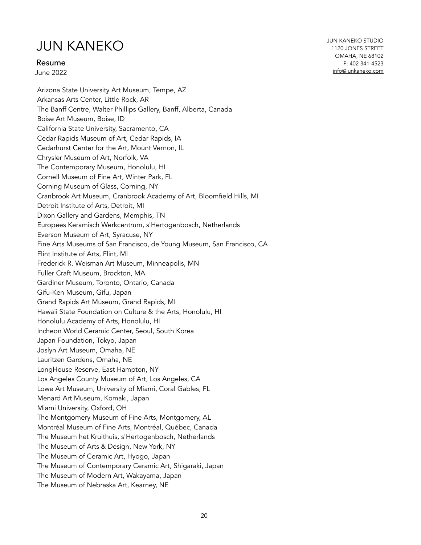Resume

June 2022

Arizona State University Art Museum, Tempe, AZ Arkansas Arts Center, Little Rock, AR The Banff Centre, Walter Phillips Gallery, Banff, Alberta, Canada Boise Art Museum, Boise, ID California State University, Sacramento, CA Cedar Rapids Museum of Art, Cedar Rapids, IA Cedarhurst Center for the Art, Mount Vernon, IL Chrysler Museum of Art, Norfolk, VA The Contemporary Museum, Honolulu, HI Cornell Museum of Fine Art, Winter Park, FL Corning Museum of Glass, Corning, NY Cranbrook Art Museum, Cranbrook Academy of Art, Bloomfield Hills, MI Detroit Institute of Arts, Detroit, MI Dixon Gallery and Gardens, Memphis, TN Europees Keramisch Werkcentrum, s'Hertogenbosch, Netherlands Everson Museum of Art, Syracuse, NY Fine Arts Museums of San Francisco, de Young Museum, San Francisco, CA Flint Institute of Arts, Flint, MI Frederick R. Weisman Art Museum, Minneapolis, MN Fuller Craft Museum, Brockton, MA Gardiner Museum, Toronto, Ontario, Canada Gifu-Ken Museum, Gifu, Japan Grand Rapids Art Museum, Grand Rapids, MI Hawaii State Foundation on Culture & the Arts, Honolulu, HI Honolulu Academy of Arts, Honolulu, HI Incheon World Ceramic Center, Seoul, South Korea Japan Foundation, Tokyo, Japan Joslyn Art Museum, Omaha, NE Lauritzen Gardens, Omaha, NE LongHouse Reserve, East Hampton, NY Los Angeles County Museum of Art, Los Angeles, CA Lowe Art Museum, University of Miami, Coral Gables, FL Menard Art Museum, Komaki, Japan Miami University, Oxford, OH The Montgomery Museum of Fine Arts, Montgomery, AL Montréal Museum of Fine Arts, Montréal, Québec, Canada The Museum het Kruithuis, s'Hertogenbosch, Netherlands The Museum of Arts & Design, New York, NY The Museum of Ceramic Art, Hyogo, Japan The Museum of Contemporary Ceramic Art, Shigaraki, Japan The Museum of Modern Art, Wakayama, Japan The Museum of Nebraska Art, Kearney, NE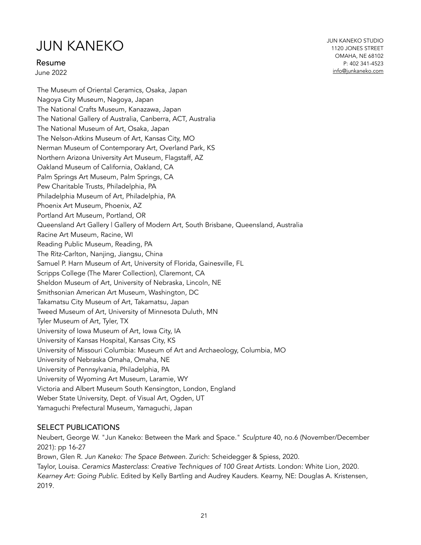Resume

June 2022

JUN KANEKO STUDIO 1120 JONES STREET OMAHA, NE 68102 P: 402 341-4523 [info@junkaneko.com](mailto:info@junkaneko.com?subject=)

The Museum of Oriental Ceramics, Osaka, Japan Nagoya City Museum, Nagoya, Japan The National Crafts Museum, Kanazawa, Japan The National Gallery of Australia, Canberra, ACT, Australia The National Museum of Art, Osaka, Japan The Nelson-Atkins Museum of Art, Kansas City, MO Nerman Museum of Contemporary Art, Overland Park, KS Northern Arizona University Art Museum, Flagstaff, AZ Oakland Museum of California, Oakland, CA Palm Springs Art Museum, Palm Springs, CA Pew Charitable Trusts, Philadelphia, PA Philadelphia Museum of Art, Philadelphia, PA Phoenix Art Museum, Phoenix, AZ Portland Art Museum, Portland, OR Queensland Art Gallery | Gallery of Modern Art, South Brisbane, Queensland, Australia Racine Art Museum, Racine, WI Reading Public Museum, Reading, PA The Ritz-Carlton, Nanjing, Jiangsu, China Samuel P. Harn Museum of Art, University of Florida, Gainesville, FL Scripps College (The Marer Collection), Claremont, CA Sheldon Museum of Art, University of Nebraska, Lincoln, NE Smithsonian American Art Museum, Washington, DC Takamatsu City Museum of Art, Takamatsu, Japan Tweed Museum of Art, University of Minnesota Duluth, MN Tyler Museum of Art, Tyler, TX University of Iowa Museum of Art, Iowa City, IA University of Kansas Hospital, Kansas City, KS University of Missouri Columbia: Museum of Art and Archaeology, Columbia, MO University of Nebraska Omaha, Omaha, NE University of Pennsylvania, Philadelphia, PA University of Wyoming Art Museum, Laramie, WY Victoria and Albert Museum South Kensington, London, England Weber State University, Dept. of Visual Art, Ogden, UT Yamaguchi Prefectural Museum, Yamaguchi, Japan

#### SELECT PUBLICATIONS

Neubert, George W. "Jun Kaneko: Between the Mark and Space." *Sculpture* 40, no.6 (November/December 2021): pp 16-27

Brown, Glen R. *Jun Kaneko: The Space Between*. Zurich: Scheidegger & Spiess, 2020. Taylor, Louisa. *Ceramics Masterclass: Creative Techniques of 100 Great Artists*. London: White Lion, 2020. *Kearney Art: Going Public*. Edited by Kelly Bartling and Audrey Kauders. Kearny, NE: Douglas A. Kristensen, 2019.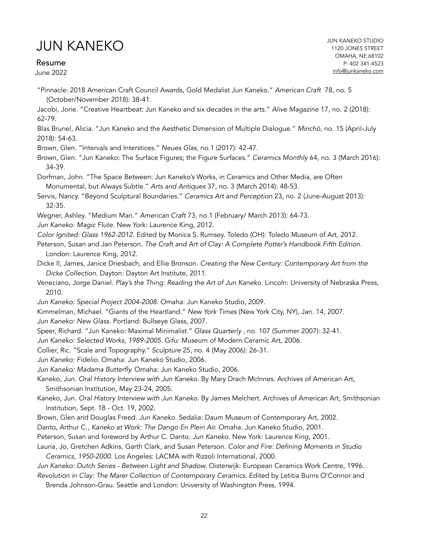Resume

June 2022

"Pinnacle: 2018 American Craft Council Awards, Gold Medalist Jun Kaneko." *American Craft* 78, no. 5 (October/November 2018): 38-41.

Jacobi, Jorie. "Creative Heartbeat: Jun Kaneko and six decades in the arts." *Alive Magazine* 17, no. 2 (2018): 62-79.

Blas Brunel, Alicia. "Jun Kaneko and the Aesthetic Dimension of Multiple Dialogue." *Minch*ō, no. 15 (April-July 2018): 54-63.

Brown, Glen. "Intervals and Interstices." *Neues Glas,* no.1 (2017): 42-47.

Brown, Glen. "Jun Kaneko: The Surface Figures; the Figure Surfaces." *Ceramics Monthly* 64, no. 3 (March 2016): 34-39.

Dorfman, John. "The Space Between: Jun Kaneko's Works, in Ceramics and Other Media, are Often Monumental, but Always Subtle." *Arts and Antiques* 37, no. 3 (March 2014): 48-53.

Servis, Nancy. "Beyond Sculptural Boundaries." *Ceramics Art and Perception* 23, no. 2 (June-August 2013): 32-35.

Wegner, Ashley. "Medium Man." *American Craft* 73, no.1 (February/ March 2013): 64-73.

*Jun Kaneko: Magic Flute.* New York: Laurence King, 2012.

*Color Ignited: Glass 1962-2012.* Edited by Monica S. Rumsey. Toledo (OH): Toledo Museum of Art, 2012.

Peterson, Susan and Jan Peterson. *The Craft and Art of Clay: A Complete Potter's Handbook Fifth Edition.*  London: Laurence King, 2012.

Dicke II, James, Janice Driesbach, and Ellie Bronson. *Creating the New Century: Contemporary Art from the Dicke Collection.* Dayton: Dayton Art Institute, 2011.

Veneciano, Jorge Daniel. *Play's the Thing: Reading the Art of Jun Kaneko.* Lincoln: University of Nebraska Press, 2010.

*Jun Kaneko: Special Project 2004-2008.* Omaha: Jun Kaneko Studio, 2009.

Kimmelman, Michael. "Giants of the Heartland." *New York Times* (New York City, NY), Jan. 14, 2007.

*Jun Kaneko: New Glass.* Portland: Bullseye Glass, 2007.

Speer, Richard. "Jun Kaneko: Maximal Minimalist." *Glass Quarterly ,* no. 107 (Summer 2007): 32-41.

*Jun Kaneko: Selected Works, 1989-2005.* Gifu: Museum of Modern Ceramic Art, 2006.

Collier, Ric. "Scale and Topography." *Sculpture* 25, no. 4 (May 2006): 26-31.

*Jun Kaneko: Fidelio.* Omaha: Jun Kaneko Studio, 2006.

*Jun Kaneko: Madama Butterfly.* Omaha: Jun Kaneko Studio, 2006.

Kaneko, Jun. *Oral History Interview with Jun Kaneko.* By Mary Drach McInnes. Archives of American Art, Smithsonian Institution, May 23-24, 2005.

Kaneko, Jun. *Oral History Interview with Jun Kaneko.* By James Melchert. Archives of American Art, Smithsonian Institution, Sept. 18 - Oct. 19, 2002.

Brown, Glen and Douglas Freed. *Jun Kaneko.* Sedalia: Daum Museum of Contemporary Art, 2002.

Danto, Arthur C., *Kaneko at Work: The Dango En Plein Air.* Omaha: Jun Kaneko Studio, 2001.

Peterson, Susan and foreword by Arthur C. Danto. *Jun Kaneko.* New York: Laurence King, 2001.

Lauria, Jo, Gretchen Adkins, Garth Clark, and Susan Peterson. *Color and Fire: Defining Moments in Studio Ceramics, 1950-2000.* Los Angeles: LACMA with Rizzoli International, 2000.

*Jun Kaneko: Dutch Series - Between Light and Shadow.* Oisterwijk: European Ceramics Work Centre, 1996.

*Revolution in Clay: The Marer Collection of Contemporary Ceramics*. Edited by Letitia Burns O'Connor and Brenda Johnson-Grau. Seattle and London: University of Washington Press, 1994.